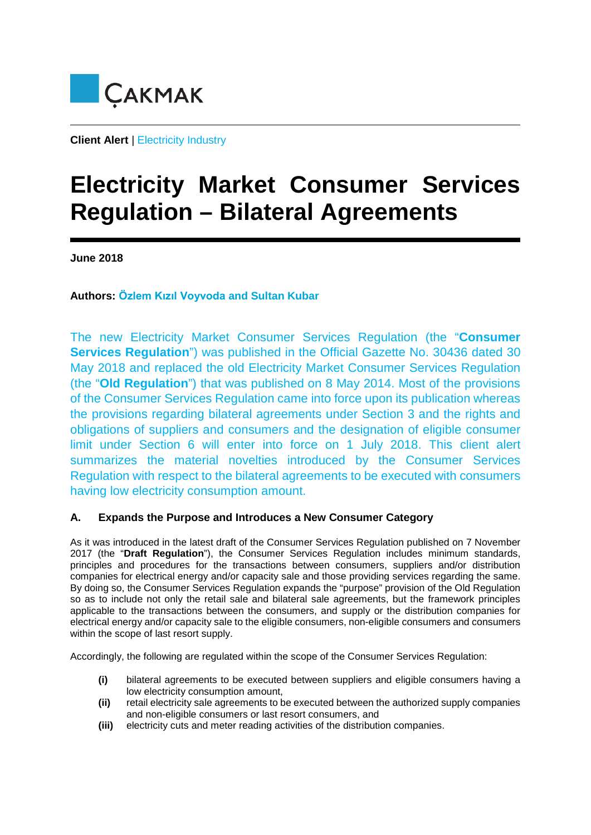

**Client Alert** | Electricity Industry

# **Electricity Market Consumer Services Regulation – Bilateral Agreements**

**June 2018**

**Authors: Özlem Kızıl Voyvoda and Sultan Kubar**

The new Electricity Market Consumer Services Regulation (the "**Consumer Services Regulation**") was published in the Official Gazette No. 30436 dated 30 May 2018 and replaced the old Electricity Market Consumer Services Regulation (the "**Old Regulation**") that was published on 8 May 2014. Most of the provisions of the Consumer Services Regulation came into force upon its publication whereas the provisions regarding bilateral agreements under Section 3 and the rights and obligations of suppliers and consumers and the designation of eligible consumer limit under Section 6 will enter into force on 1 July 2018. This client alert summarizes the material novelties introduced by the Consumer Services Regulation with respect to the bilateral agreements to be executed with consumers having low electricity consumption amount.

## **A. Expands the Purpose and Introduces a New Consumer Category**

As it was introduced in the latest draft of the Consumer Services Regulation published on 7 November 2017 (the "**Draft Regulation**"), the Consumer Services Regulation includes minimum standards, principles and procedures for the transactions between consumers, suppliers and/or distribution companies for electrical energy and/or capacity sale and those providing services regarding the same. By doing so, the Consumer Services Regulation expands the "purpose" provision of the Old Regulation so as to include not only the retail sale and bilateral sale agreements, but the framework principles applicable to the transactions between the consumers, and supply or the distribution companies for electrical energy and/or capacity sale to the eligible consumers, non-eligible consumers and consumers within the scope of last resort supply.

Accordingly, the following are regulated within the scope of the Consumer Services Regulation:

- **(i)** bilateral agreements to be executed between suppliers and eligible consumers having a low electricity consumption amount,
- **(ii)** retail electricity sale agreements to be executed between the authorized supply companies and non-eligible consumers or last resort consumers, and
- **(iii)** electricity cuts and meter reading activities of the distribution companies.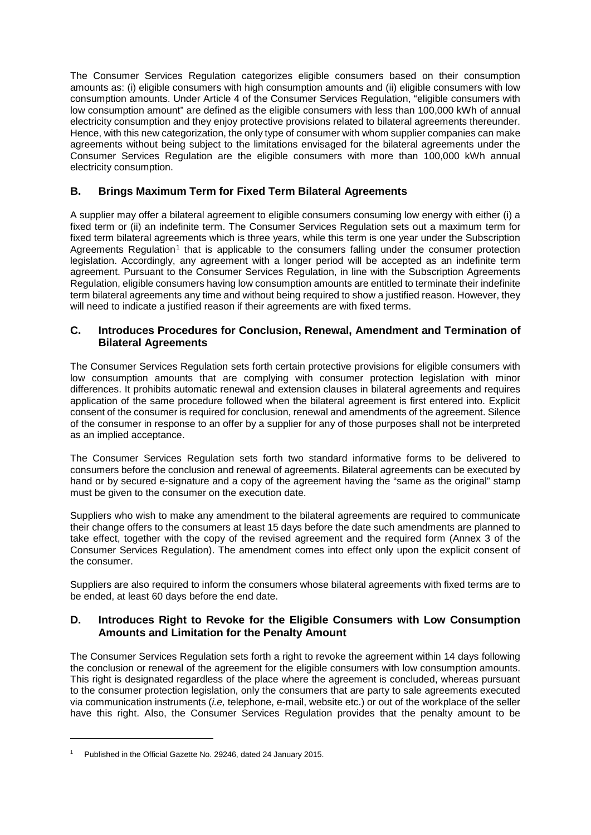The Consumer Services Regulation categorizes eligible consumers based on their consumption amounts as: (i) eligible consumers with high consumption amounts and (ii) eligible consumers with low consumption amounts. Under Article 4 of the Consumer Services Regulation, "eligible consumers with low consumption amount" are defined as the eligible consumers with less than 100,000 kWh of annual electricity consumption and they enjoy protective provisions related to bilateral agreements thereunder. Hence, with this new categorization, the only type of consumer with whom supplier companies can make agreements without being subject to the limitations envisaged for the bilateral agreements under the Consumer Services Regulation are the eligible consumers with more than 100,000 kWh annual electricity consumption.

## **B. Brings Maximum Term for Fixed Term Bilateral Agreements**

A supplier may offer a bilateral agreement to eligible consumers consuming low energy with either (i) a fixed term or (ii) an indefinite term. The Consumer Services Regulation sets out a maximum term for fixed term bilateral agreements which is three years, while this term is one year under the Subscription Agreements Regulation<sup>[1](#page-1-0)</sup> that is applicable to the consumers falling under the consumer protection legislation. Accordingly, any agreement with a longer period will be accepted as an indefinite term agreement. Pursuant to the Consumer Services Regulation, in line with the Subscription Agreements Regulation, eligible consumers having low consumption amounts are entitled to terminate their indefinite term bilateral agreements any time and without being required to show a justified reason. However, they will need to indicate a justified reason if their agreements are with fixed terms.

### **C. Introduces Procedures for Conclusion, Renewal, Amendment and Termination of Bilateral Agreements**

The Consumer Services Regulation sets forth certain protective provisions for eligible consumers with low consumption amounts that are complying with consumer protection legislation with minor differences. It prohibits automatic renewal and extension clauses in bilateral agreements and requires application of the same procedure followed when the bilateral agreement is first entered into. Explicit consent of the consumer is required for conclusion, renewal and amendments of the agreement. Silence of the consumer in response to an offer by a supplier for any of those purposes shall not be interpreted as an implied acceptance.

The Consumer Services Regulation sets forth two standard informative forms to be delivered to consumers before the conclusion and renewal of agreements. Bilateral agreements can be executed by hand or by secured e-signature and a copy of the agreement having the "same as the original" stamp must be given to the consumer on the execution date.

Suppliers who wish to make any amendment to the bilateral agreements are required to communicate their change offers to the consumers at least 15 days before the date such amendments are planned to take effect, together with the copy of the revised agreement and the required form (Annex 3 of the Consumer Services Regulation). The amendment comes into effect only upon the explicit consent of the consumer.

Suppliers are also required to inform the consumers whose bilateral agreements with fixed terms are to be ended, at least 60 days before the end date.

### **D. Introduces Right to Revoke for the Eligible Consumers with Low Consumption Amounts and Limitation for the Penalty Amount**

The Consumer Services Regulation sets forth a right to revoke the agreement within 14 days following the conclusion or renewal of the agreement for the eligible consumers with low consumption amounts. This right is designated regardless of the place where the agreement is concluded, whereas pursuant to the consumer protection legislation, only the consumers that are party to sale agreements executed via communication instruments (*i.e,* telephone, e-mail, website etc.) or out of the workplace of the seller have this right. Also, the Consumer Services Regulation provides that the penalty amount to be

 $\overline{a}$ 

<span id="page-1-0"></span><sup>1</sup> Published in the Official Gazette No. 29246, dated 24 January 2015.